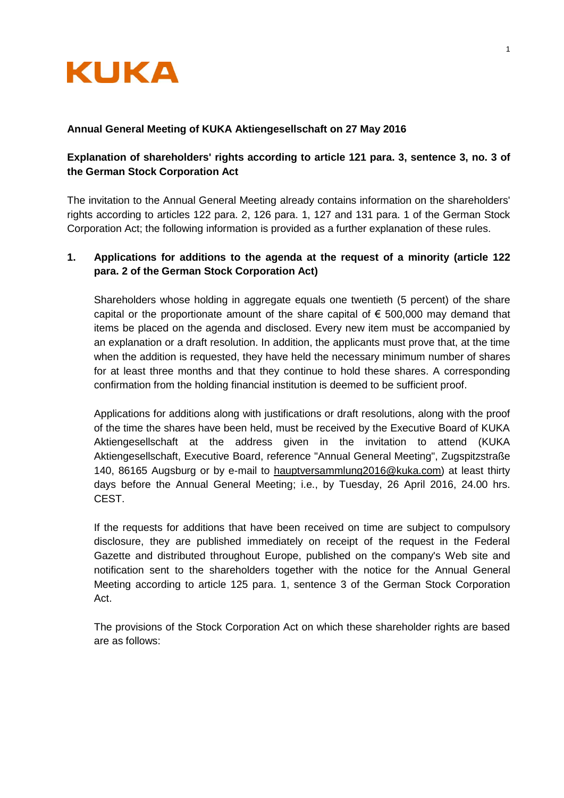

## **Annual General Meeting of KUKA Aktiengesellschaft on 27 May 2016**

# **Explanation of shareholders' rights according to article 121 para. 3, sentence 3, no. 3 of the German Stock Corporation Act**

The invitation to the Annual General Meeting already contains information on the shareholders' rights according to articles 122 para. 2, 126 para. 1, 127 and 131 para. 1 of the German Stock Corporation Act; the following information is provided as a further explanation of these rules.

# **1. Applications for additions to the agenda at the request of a minority (article 122 para. 2 of the German Stock Corporation Act)**

Shareholders whose holding in aggregate equals one twentieth (5 percent) of the share capital or the proportionate amount of the share capital of  $\epsilon$  500,000 may demand that items be placed on the agenda and disclosed. Every new item must be accompanied by an explanation or a draft resolution. In addition, the applicants must prove that, at the time when the addition is requested, they have held the necessary minimum number of shares for at least three months and that they continue to hold these shares. A corresponding confirmation from the holding financial institution is deemed to be sufficient proof.

Applications for additions along with justifications or draft resolutions, along with the proof of the time the shares have been held, must be received by the Executive Board of KUKA Aktiengesellschaft at the address given in the invitation to attend (KUKA Aktiengesellschaft, Executive Board, reference "Annual General Meeting", Zugspitzstraße 140, 86165 Augsburg or by e-mail to hauptversammlung2016@kuka.com) at least thirty days before the Annual General Meeting; i.e., by Tuesday, 26 April 2016, 24.00 hrs. CEST.

If the requests for additions that have been received on time are subject to compulsory disclosure, they are published immediately on receipt of the request in the Federal Gazette and distributed throughout Europe, published on the company's Web site and notification sent to the shareholders together with the notice for the Annual General Meeting according to article 125 para. 1, sentence 3 of the German Stock Corporation Act.

The provisions of the Stock Corporation Act on which these shareholder rights are based are as follows: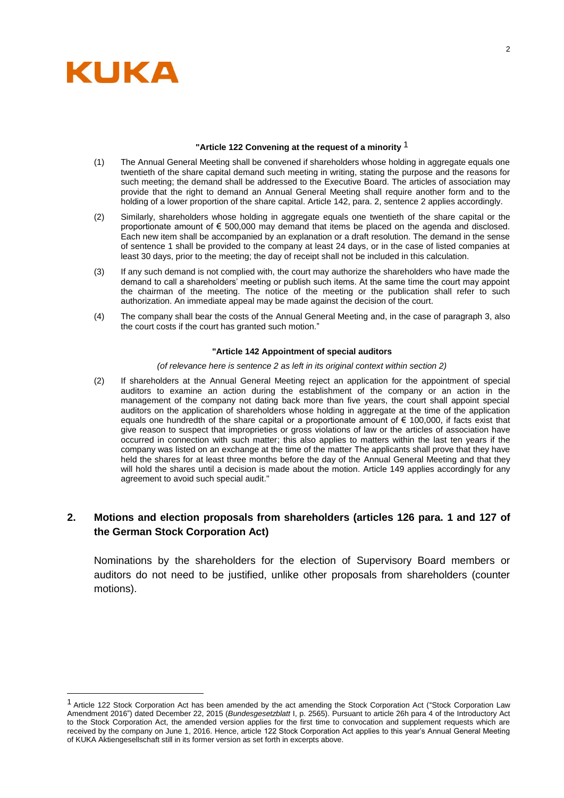

l

## **"Article 122 Convening at the request of a minority** 1

- (1) The Annual General Meeting shall be convened if shareholders whose holding in aggregate equals one twentieth of the share capital demand such meeting in writing, stating the purpose and the reasons for such meeting; the demand shall be addressed to the Executive Board. The articles of association may provide that the right to demand an Annual General Meeting shall require another form and to the holding of a lower proportion of the share capital. Article 142, para. 2, sentence 2 applies accordingly.
- (2) Similarly, shareholders whose holding in aggregate equals one twentieth of the share capital or the proportionate amount of € 500,000 may demand that items be placed on the agenda and disclosed. Each new item shall be accompanied by an explanation or a draft resolution. The demand in the sense of sentence 1 shall be provided to the company at least 24 days, or in the case of listed companies at least 30 days, prior to the meeting; the day of receipt shall not be included in this calculation.
- (3) If any such demand is not complied with, the court may authorize the shareholders who have made the demand to call a shareholders' meeting or publish such items. At the same time the court may appoint the chairman of the meeting. The notice of the meeting or the publication shall refer to such authorization. An immediate appeal may be made against the decision of the court.
- (4) The company shall bear the costs of the Annual General Meeting and, in the case of paragraph 3, also the court costs if the court has granted such motion."

## **"Article 142 Appointment of special auditors**

*(of relevance here is sentence 2 as left in its original context within section 2)*

(2) If shareholders at the Annual General Meeting reject an application for the appointment of special auditors to examine an action during the establishment of the company or an action in the management of the company not dating back more than five years, the court shall appoint special auditors on the application of shareholders whose holding in aggregate at the time of the application equals one hundredth of the share capital or a proportionate amount of  $\epsilon$  100,000, if facts exist that give reason to suspect that improprieties or gross violations of law or the articles of association have occurred in connection with such matter; this also applies to matters within the last ten years if the company was listed on an exchange at the time of the matter The applicants shall prove that they have held the shares for at least three months before the day of the Annual General Meeting and that they will hold the shares until a decision is made about the motion. Article 149 applies accordingly for any agreement to avoid such special audit."

## **2. Motions and election proposals from shareholders (articles 126 para. 1 and 127 of the German Stock Corporation Act)**

Nominations by the shareholders for the election of Supervisory Board members or auditors do not need to be justified, unlike other proposals from shareholders (counter motions).

<sup>1</sup> Article 122 Stock Corporation Act has been amended by the act amending the Stock Corporation Act ("Stock Corporation Law Amendment 2016") dated December 22, 2015 (*Bundesgesetzblatt* I, p. 2565). Pursuant to article 26h para 4 of the Introductory Act to the Stock Corporation Act, the amended version applies for the first time to convocation and supplement requests which are received by the company on June 1, 2016. Hence, article 122 Stock Corporation Act applies to this year's Annual General Meeting of KUKA Aktiengesellschaft still in its former version as set forth in excerpts above.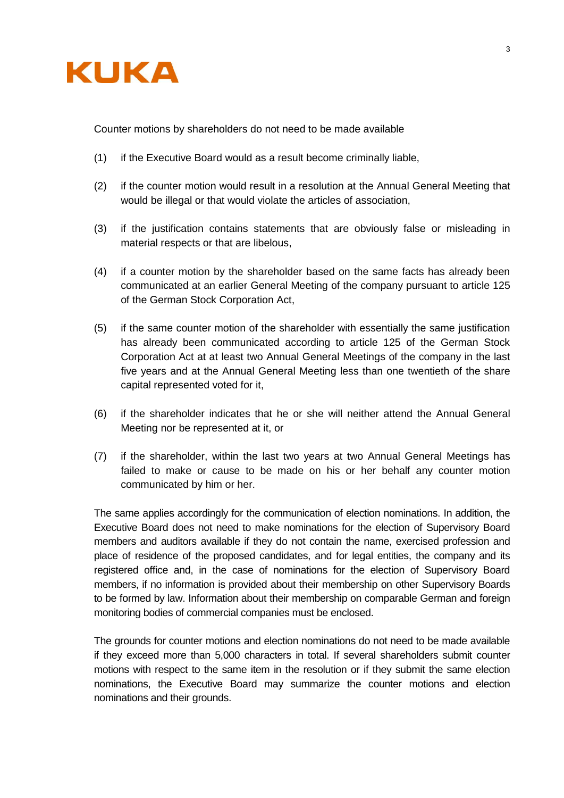

Counter motions by shareholders do not need to be made available

- (1) if the Executive Board would as a result become criminally liable,
- (2) if the counter motion would result in a resolution at the Annual General Meeting that would be illegal or that would violate the articles of association,
- (3) if the justification contains statements that are obviously false or misleading in material respects or that are libelous,
- (4) if a counter motion by the shareholder based on the same facts has already been communicated at an earlier General Meeting of the company pursuant to article 125 of the German Stock Corporation Act,
- (5) if the same counter motion of the shareholder with essentially the same justification has already been communicated according to article 125 of the German Stock Corporation Act at at least two Annual General Meetings of the company in the last five years and at the Annual General Meeting less than one twentieth of the share capital represented voted for it,
- (6) if the shareholder indicates that he or she will neither attend the Annual General Meeting nor be represented at it, or
- (7) if the shareholder, within the last two years at two Annual General Meetings has failed to make or cause to be made on his or her behalf any counter motion communicated by him or her.

The same applies accordingly for the communication of election nominations. In addition, the Executive Board does not need to make nominations for the election of Supervisory Board members and auditors available if they do not contain the name, exercised profession and place of residence of the proposed candidates, and for legal entities, the company and its registered office and, in the case of nominations for the election of Supervisory Board members, if no information is provided about their membership on other Supervisory Boards to be formed by law. Information about their membership on comparable German and foreign monitoring bodies of commercial companies must be enclosed.

The grounds for counter motions and election nominations do not need to be made available if they exceed more than 5,000 characters in total. If several shareholders submit counter motions with respect to the same item in the resolution or if they submit the same election nominations, the Executive Board may summarize the counter motions and election nominations and their grounds.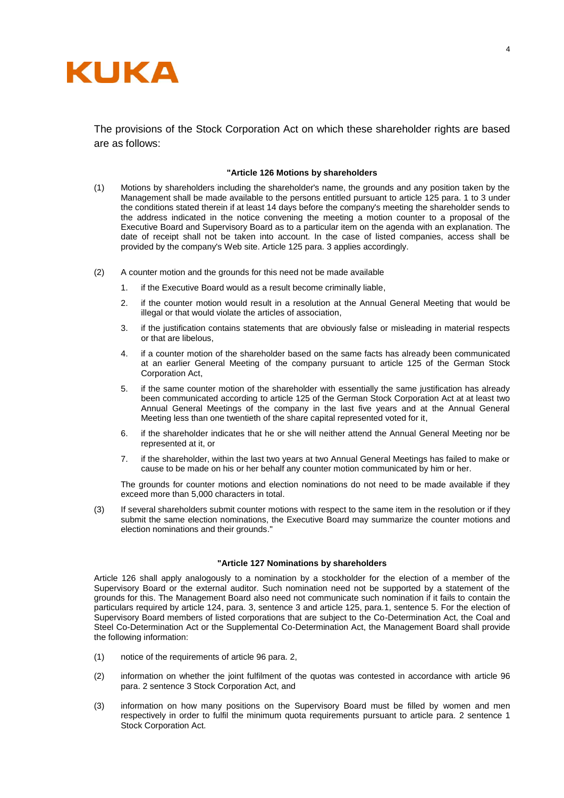

The provisions of the Stock Corporation Act on which these shareholder rights are based are as follows:

#### **"Article 126 Motions by shareholders**

- (1) Motions by shareholders including the shareholder's name, the grounds and any position taken by the Management shall be made available to the persons entitled pursuant to article 125 para. 1 to 3 under the conditions stated therein if at least 14 days before the company's meeting the shareholder sends to the address indicated in the notice convening the meeting a motion counter to a proposal of the Executive Board and Supervisory Board as to a particular item on the agenda with an explanation. The date of receipt shall not be taken into account. In the case of listed companies, access shall be provided by the company's Web site. Article 125 para. 3 applies accordingly.
- (2) A counter motion and the grounds for this need not be made available
	- 1. if the Executive Board would as a result become criminally liable,
	- 2. if the counter motion would result in a resolution at the Annual General Meeting that would be illegal or that would violate the articles of association,
	- 3. if the justification contains statements that are obviously false or misleading in material respects or that are libelous,
	- 4. if a counter motion of the shareholder based on the same facts has already been communicated at an earlier General Meeting of the company pursuant to article 125 of the German Stock Corporation Act,
	- 5. if the same counter motion of the shareholder with essentially the same justification has already been communicated according to article 125 of the German Stock Corporation Act at at least two Annual General Meetings of the company in the last five years and at the Annual General Meeting less than one twentieth of the share capital represented voted for it,
	- 6. if the shareholder indicates that he or she will neither attend the Annual General Meeting nor be represented at it, or
	- 7. if the shareholder, within the last two years at two Annual General Meetings has failed to make or cause to be made on his or her behalf any counter motion communicated by him or her.

The grounds for counter motions and election nominations do not need to be made available if they exceed more than 5,000 characters in total.

(3) If several shareholders submit counter motions with respect to the same item in the resolution or if they submit the same election nominations, the Executive Board may summarize the counter motions and election nominations and their grounds."

#### **"Article 127 Nominations by shareholders**

Article 126 shall apply analogously to a nomination by a stockholder for the election of a member of the Supervisory Board or the external auditor. Such nomination need not be supported by a statement of the grounds for this. The Management Board also need not communicate such nomination if it fails to contain the particulars required by article 124, para. 3, sentence 3 and article 125, para.1, sentence 5. For the election of Supervisory Board members of listed corporations that are subject to the Co-Determination Act, the Coal and Steel Co-Determination Act or the Supplemental Co-Determination Act, the Management Board shall provide the following information:

- (1) notice of the requirements of article 96 para. 2,
- (2) information on whether the joint fulfilment of the quotas was contested in accordance with article 96 para. 2 sentence 3 Stock Corporation Act, and
- (3) information on how many positions on the Supervisory Board must be filled by women and men respectively in order to fulfil the minimum quota requirements pursuant to article para. 2 sentence 1 Stock Corporation Act.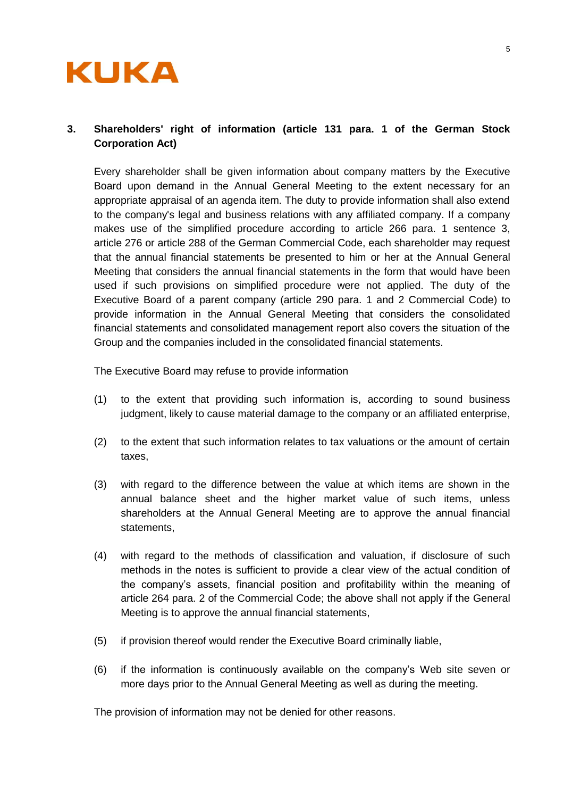

# **3. Shareholders' right of information (article 131 para. 1 of the German Stock Corporation Act)**

Every shareholder shall be given information about company matters by the Executive Board upon demand in the Annual General Meeting to the extent necessary for an appropriate appraisal of an agenda item. The duty to provide information shall also extend to the company's legal and business relations with any affiliated company. If a company makes use of the simplified procedure according to article 266 para. 1 sentence 3, article 276 or article 288 of the German Commercial Code, each shareholder may request that the annual financial statements be presented to him or her at the Annual General Meeting that considers the annual financial statements in the form that would have been used if such provisions on simplified procedure were not applied. The duty of the Executive Board of a parent company (article 290 para. 1 and 2 Commercial Code) to provide information in the Annual General Meeting that considers the consolidated financial statements and consolidated management report also covers the situation of the Group and the companies included in the consolidated financial statements.

The Executive Board may refuse to provide information

- (1) to the extent that providing such information is, according to sound business judgment, likely to cause material damage to the company or an affiliated enterprise,
- (2) to the extent that such information relates to tax valuations or the amount of certain taxes,
- (3) with regard to the difference between the value at which items are shown in the annual balance sheet and the higher market value of such items, unless shareholders at the Annual General Meeting are to approve the annual financial statements,
- (4) with regard to the methods of classification and valuation, if disclosure of such methods in the notes is sufficient to provide a clear view of the actual condition of the company's assets, financial position and profitability within the meaning of article 264 para. 2 of the Commercial Code; the above shall not apply if the General Meeting is to approve the annual financial statements,
- (5) if provision thereof would render the Executive Board criminally liable,
- (6) if the information is continuously available on the company's Web site seven or more days prior to the Annual General Meeting as well as during the meeting.

The provision of information may not be denied for other reasons.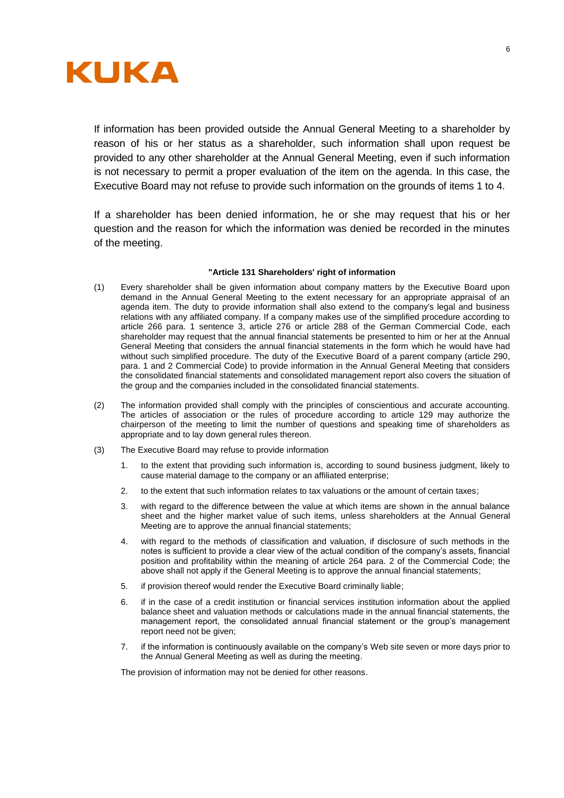

If information has been provided outside the Annual General Meeting to a shareholder by reason of his or her status as a shareholder, such information shall upon request be provided to any other shareholder at the Annual General Meeting, even if such information is not necessary to permit a proper evaluation of the item on the agenda. In this case, the Executive Board may not refuse to provide such information on the grounds of items 1 to 4.

If a shareholder has been denied information, he or she may request that his or her question and the reason for which the information was denied be recorded in the minutes of the meeting.

## **"Article 131 Shareholders' right of information**

- (1) Every shareholder shall be given information about company matters by the Executive Board upon demand in the Annual General Meeting to the extent necessary for an appropriate appraisal of an agenda item. The duty to provide information shall also extend to the company's legal and business relations with any affiliated company. If a company makes use of the simplified procedure according to article 266 para. 1 sentence 3, article 276 or article 288 of the German Commercial Code, each shareholder may request that the annual financial statements be presented to him or her at the Annual General Meeting that considers the annual financial statements in the form which he would have had without such simplified procedure. The duty of the Executive Board of a parent company (article 290, para. 1 and 2 Commercial Code) to provide information in the Annual General Meeting that considers the consolidated financial statements and consolidated management report also covers the situation of the group and the companies included in the consolidated financial statements.
- (2) The information provided shall comply with the principles of conscientious and accurate accounting. The articles of association or the rules of procedure according to article 129 may authorize the chairperson of the meeting to limit the number of questions and speaking time of shareholders as appropriate and to lay down general rules thereon.
- (3) The Executive Board may refuse to provide information
	- 1. to the extent that providing such information is, according to sound business judgment, likely to cause material damage to the company or an affiliated enterprise;
	- 2. to the extent that such information relates to tax valuations or the amount of certain taxes;
	- 3. with regard to the difference between the value at which items are shown in the annual balance sheet and the higher market value of such items, unless shareholders at the Annual General Meeting are to approve the annual financial statements;
	- 4. with regard to the methods of classification and valuation, if disclosure of such methods in the notes is sufficient to provide a clear view of the actual condition of the company's assets, financial position and profitability within the meaning of article 264 para. 2 of the Commercial Code; the above shall not apply if the General Meeting is to approve the annual financial statements;
	- 5. if provision thereof would render the Executive Board criminally liable;
	- 6. if in the case of a credit institution or financial services institution information about the applied balance sheet and valuation methods or calculations made in the annual financial statements, the management report, the consolidated annual financial statement or the group's management report need not be given;
	- 7. if the information is continuously available on the company's Web site seven or more days prior to the Annual General Meeting as well as during the meeting.

The provision of information may not be denied for other reasons.